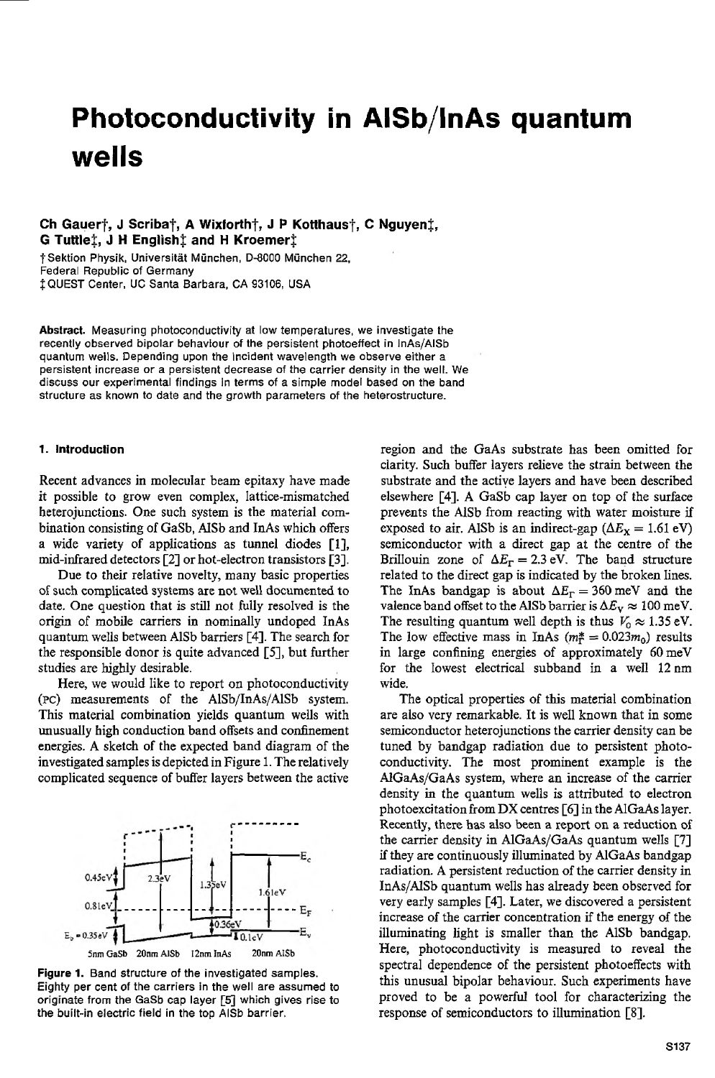# **Photoconductivity in AISb/lnAs quantum** wells

# $Ch$  Gauer $\dagger$ , J Scriba $\dagger$ , A Wixforth $\dagger$ , J P Kotthaus $\dagger$ , C Nguyen $\dagger$ , **G Tuttlet, J H English\$ and H Kroemerz**

TSektion Physik, Universitat Munchen, D-8000 Munchen **22,** Federal Republic of Germany  $\ddagger$  QUEST Center, UC Santa Barbara, CA 93106, USA

Abstract. Measuring photoconductivity at low temperatures, we investigate the recently observed bipolar behaviour of the persistent photoeffect in InAs/AISb quantum wells. Depending upon the incident wavelength we observe either a persistent increase or a persistent decrease ofthe carrier density in the well. We discuss our experimental findings in terms of a simple model based on the band structure as known to date and the growth parameters of the heterostructure.

### *1.* **Introduction**

Recent advances in molecular beam epitaxy have made it possible to grow even complex, lattice-mismatched heterojunctions. One such system is the material combination consisting of GaSb, AISb and InAs which offers a wide variety of applications as tunnel diodes [l], mid-infrared detectors [2] or hot-electron transistors [3].

Due to their relative novelty, many basic properties of such complicated systems are not well documented to date. One question that *is* still not fully resolved is the origin of mobile carriers in nominally undoped InAs quantum wells between AlSb barriers *[4].* The search for the responsible donor is quite advanced [5], but further studies are highly desirable.

Here, we would like to report on photoconductivity **(PC)** measurements of the AlSb/InAs/AlSb system. This material combination yields quantum wells with unusually high conduction band offsets and confinement energies. A sketch of the expected band diagram of the investigated samples is depicted in Figure 1. The relatively complicated sequence of buffer layers between the active



Figure 1. Band structure of the investigated samples. Eighty per cent of the carriers in the well are assumed to originate from the GaSb cap layer *[5l* which gives rise to the built-in electric field in the top AlSb barrier.

region and the GaAs substrate has been omitted for clarity. Such buffer layers relieve the strain between the substrate and the active layers and have been described elsewhere [4]. A GaSb cap layer on top of the surface prevents the AlSb from reacting with water moisture if exposed to air. AlSb is an indirect-gap  $(\Delta E_X = 1.61 \text{ eV})$ semiconductor with a direct gap at the centre of the Brillouin zone of  $\Delta E_{\Gamma} = 2.3$  eV. The band structure related to the direct gap is indicated by the broken lines. The InAs bandgap is about  $\Delta E_{\rm r} = 360$  meV and the valence band offset to the AISb barrier is  $\Delta E_v \approx 100$  meV. The resulting quantum well depth is thus  $V_0 \approx 1.35$  eV. The low effective mass in InAs  $(m_f^* = 0.023m_0)$  results in large confining energies of approximately 60meV for the lowest electrical subband in a well 12nm wide.

The optical properties of this material combination are also very remarkable. It is well known that in some semiconductor heterojunctions the carrier density can be tuned by bandgap radiation due to persistent photoconductivity. The most prominent example is the AlGaAs/GaAs system, where an increase of the carrier density in the quantum wells is attributed to electron photoexcitation from DX centres  $[6]$  in the AlGaAs layer. Recently, there has also been a report on a reduction of the carrier density in AlGaAs/GaAs quantum wells [7] if they are continuously illuminated by AlGaAs bandgap radiation. A persistent reduction of the carrier density in InAs/AlSb quantum wells has already been observed for very early samples [4]. Later, we discovered a persistent increase of the carrier concentration if the energy of the illuminating light is smaller than the AlSb bandgap. Here, photoconductivity is measured to reveal the spectral dependence of the persistent photoeffects with this unusual bipolar behaviour. Such experiments have proved to be a powerful tool for characterizing the response of semiconductors to illumination [8].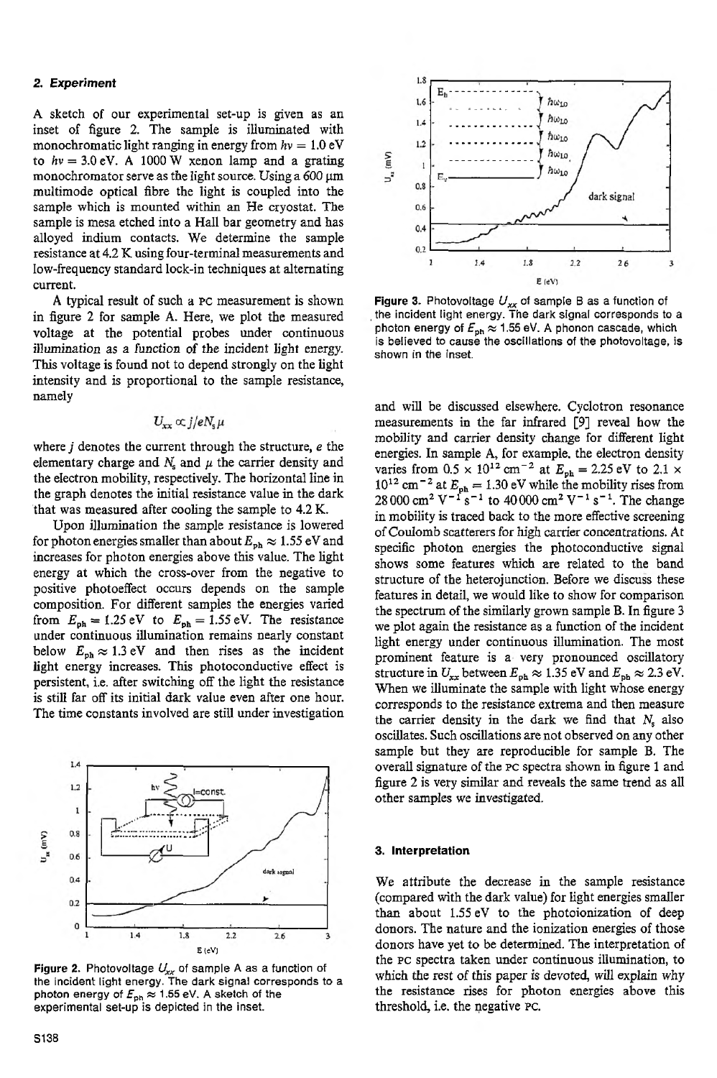# **2. Experiment**

**A** sketch of our experimental set-up is given as an inset of figure 2. The sample is illuminated with monochromatic light ranging in energy from  $hv = 1.0$  eV to  $hv = 3.0$  eV. A 1000 W xenon lamp and a grating monochromator serve as the light source. Using a  $600 \mu m$ multimode optical fibre the light is coupled into the sample which is mounted within an He cryostat. The sample is mesa etched into a Hall bar geometry and has alloyed indium contacts. We determine the sample resistance at 4.2 K using four-terminal measurements and low-frequencystandard lock-in techniques at alternating current.

A typical result of such a **PC** measurement is shown in figure 2 for sample **A.** Here, we plot the measured voltage at the potential probes under continuous illumination as a function of the incident light energy. This voltage is found not to depend strongly on the light intensity and is proportional to the sample resistance, namely

# $U_{xx} \propto j/eN_e\mu$

where *j* denotes the current through the structure, *e* the elementary charge and  $N_s$  and  $\mu$  the carrier density and the electron mobility, respectively. The horizontal line in the graph denotes the initial resistance value in the dark 'that was measured after cooling the sample to 4.2 K.

Upon illumination the sample resistance is lowered for photon energies smaller than about  $E_{\rm ph} \approx 1.55 \text{ eV}$  and increasesfor photon energies above this value. The light energy at which the cross-over from the negative to positive photoeffect occurs depends on the sample composition. For different samples the energies varied from  $E_{\text{ph}} = 1.25 \text{ eV}$  to  $E_{\text{ph}} = 1.55 \text{ eV}$ . The resistance under continuous illumination remains nearly constant below  $E_{\text{ph}} \approx 1.3 \text{ eV}$  and then rises as the incident light energy increases. This photoconductive effect is persistent, i.e. after switching off the light the resistance is still far off its initial dark value even after one hour. The time constants involved are still under investigation



**Figure 2.** Photovoltage  $U_{xx}$  of sample A as a function of the incident light energy. The dark signal corresponds to a photon energy of  $F_{\sf ph} \approx 1.55$  eV. A sketch of the experimental set-up is depicted in the inset.



**Figure 3.** Photovoltage *U,, of* sample B as a functionof the incident light energy. The dark signal corresponds to a photon energy of  $E_{\rm ph} \approx 1.55$  eV. A phonon cascade, which is believed to cause the oscillations of the photovoltage, is shown in the inset.

and will be discussed elsewhere. Cyclotron resonance measurements in the far infrared **[SI** reveal how the mobility and carrier density change for different light energies. In sample **A,** for example. the electron density varies from  $0.5 \times 10^{12}$  cm<sup>-2</sup> at  $E_{ph} = 2.25$  eV to  $2.1 \times$  $10^{12}$  cm<sup>-2</sup> at  $E_{ph} = 1.30$  eV while the mobility rises from 28 000 cm<sup>2</sup> V<sup>-1</sup> s<sup>-1</sup> to 40 000 cm<sup>2</sup> V<sup>-1</sup> s<sup>-1</sup>. The change in mobility is traced back to the more effective screening of Coulomb scatterers for high carrier concentrations. At specific photon energies the photoconductive signal shows some features which are related to the band structure of the heterojunction. Before we discuss these features in detail, we would like to show for comparison the spectrum of the similarly grown sample B. In figure 3 we plot again the resistance as a function of the incident light energy under continuous illumination. The most prominent feature is a very pronounced oscillatory structure in  $U_{xx}$  between  $E_{\text{ph}} \approx 1.35$  eV and  $E_{\text{ph}} \approx 2.3$  eV. When we illuminate the sample with light whose energy corresponds to the resistance extrema and then measure the carrier density in the dark we find that  $N_s$  also oscillates.Such oscillationsare not observed on any other sample but they are reproducible for sample B. The overall signature of the PC spectra shown in figure 1 and figure 2 is very similar and reveals the same trend as all other samples we investigated.

#### **3. Interpretation**

We attribute the decrease in the sample resistance (compared with the dark value) for light energies smaller than about 1.55eV to the photoionization of deep donors. The nature and the ionization energies of those donors have yet to be determined. The interpretation of the **PC** spectra taken under continuous illumination, to which the rest of this paper is devoted, will explain why the resistance rises for photon energies above this threshold, i.e. the negative **PC.**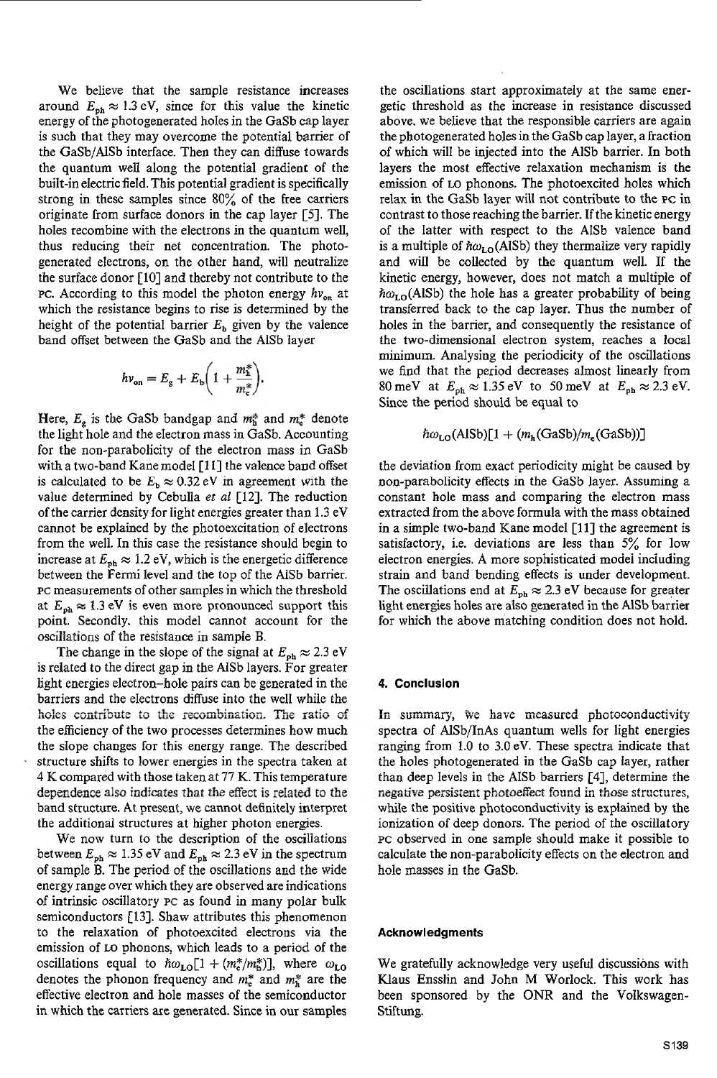We believe that the sample resistance increases around  $E_{\text{ph}} \approx 1.3 \text{ eV}$ , since for this value the kinetic energy of the photogenerated holesin the GaSb cap layer is such that they may overcome the potential barrier of the GaSb/AlSb interface. Then they can diffuse towards the quantum well along the potential gradient **of** the built-in electric field. This potential gradient is specifically strong in these samples since 80% of the free carriers originate from surface donors in the cap layer [SI. The holes recombine with the electrons in the quantum well, thus reducing their net concentration. The photogenerated electrons, on the other hand, will neutralize the surface donor  $[10]$  and thereby not contribute to the **PC.** According to this model the photon energy  $hv_{on}$  at which the resistance begins to rise is determined by the height of the potential barrier  $E_b$  given by the valence band offset between the GaSb and the AlSb layer

$$
h v_{\rm on} = E_{\rm g} + E_{\rm b} \bigg( 1 + \frac{m_{\rm h}^*}{m_{\rm e}^*} \bigg).
$$

Here,  $E_e$  is the GaSb bandgap and  $m_e^*$  and  $m_e^*$  denote the light hole and the electron mass in GaSb. Accounting for the non-parabolicity of the electron mass in GaSb with a two-band Kane model  $[11]$  the valence band offset is calculated to be  $E_b \approx 0.32 \text{ eV}$  in agreement with the value determined by Cebulla *et al* [12]. The reduction of the carrier density for light energies greater than 1.3 eV cannot be explained by the photoexcitation of electrons from the well. In this case the resistance should begin to increase at  $\vec{E}_{\text{ph}} \approx 1.2 \text{ eV}$ , which is the energetic difference between the Fermi level and the top of the AlSb barrier. PC measurements of other samples in which the threshold at  $E_{\rm ph} \approx 1.3$  eV is even more pronounced support this point. Secondly. this model cannot account for the oscillations of the resistance in sample B.

The change in the slope of the signal at  $E_{\rm ph} \approx 2.3 \text{ eV}$ isrelated to the direct gap in the AlSb layers. For greater light energies electron-hole pairs can be generated in the barriers and the electrons diffuse into the well while the the efficiency of the two processes determines how much the slope changes for this energy range. The described structure shifts to lower energies in the spectra taken at 4 K compared with those taken at *77* K. Thistemperature dependence also indicates that the effect is related to the band structure. At present, we cannot definitely interpret the additional structures at higher photon energies. holes contribute to the recombination. The ratio of

We now turn to the description of the oscillations between  $E_{\rm ph} \approx 1.35$  eV and  $E_{\rm ph} \approx 2.3$  eV in the spectrum energy range over which they are observed are indications of intrinsic oscillatory **PC** as found in many polar bulk semiconductors [13]. Shaw attributes this phenomenon to the relaxation of photoexcited electrons via the emission of LO phonons, which leads to a period of the oscillations equal to  $\hbar \omega_{LO} [1 + (m_e^*/m_h^*)]$ , where  $\omega_{LO}$ denotes the phonon frequency and *m.\**and *m:* are the effective electron and hole masses of the semiconductor in which the carriers are generated. Since in our samples of sample **B**. The period of the oscillations and the wide

the oscillations start approximately at the same energetic threshold as the increase in resistance discussed above, we believe that the responsible carriers are again the photogenerated holesin the GaSb cap layer, a fraction of which will be injected into the AlSb barrier. In both layers the most effective relaxation mechanism is the emission of LO phonons. The photoexcited holes which relax in the GaSb layer will not contribute to the **PC** in contrast to those reaching the barrier. If the kinetic energy of the latter with respect to the AlSb valence band is a multiple of  $\hbar \omega_{LO}$ (AISb) they thermalize very rapidly and will be collected by the quantum well. If the kinetic energy, however, does not match a multiple of  $\hbar\omega_{\text{LO}}$ (AlSb) the hole has a greater probability of being transferred back to the cap layer. Thus the number of holes in the barrier, and consequently the resistance of the two-dimensional electron system, reaches a local minimum. Analysing the periodicity of the oscillations we find that the period decreases almost linearly from 80 meV at  $E_{\text{ph}} \approx 1.35 \text{ eV}$  to 50 meV at  $E_{\text{ph}} \approx 2.3 \text{ eV}$ . Since the period should be equal to

$$
\hbar\omega_{\text{LO}}(\text{AlSb})[1+(m_{\text{h}}(\text{GaSb})/m_{\text{e}}(\text{GaSb}))]
$$

the deviation from exact periodicity might be caused by non-parabolicity etfects in the GaSb layer. Assuming a constant hole mass and comparing the electron mass extracted from the above formula with the mass obtained in a simple two-band Kane model [Ill the agreement is satisfactory, i.e. deviations are less than  $5\%$  for low electron energies. **A** more sophisticated model including strain and band bending effects is under development. The oscillations end at  $E_{\rm ph} \approx 2.3$  eV because for greater light energies holes are also generated in the AlSb barrier for which the above matching condition does not hold.

# *4.* **Conclusion**

... concreases...<br>In summary, we have measured photoconductivity spectra of AlSb/InAs quantum wells for light energies ranging from 1.0 to 3.0 eV. These spectra indicate that the holes photogenerated in the GaSb cap layer, rather than deep levels in the AlSb barriers [4], determine the negative persistent photoeffect found in those structures, while the positive photoconductivity is explained by the ionization of deep donors. The period of the oscillatory **PC** observed in one sample should make it possible to calculate the non-parabolicity effects on the electron and hole masses in the Gasb.

# **Acknowledgments**

We gratefully acknowledge very useful discussions with Klaus Ensslin and John M Worlock. This work has been sponsored by the ONR and the Volkswagen-Stiftung.